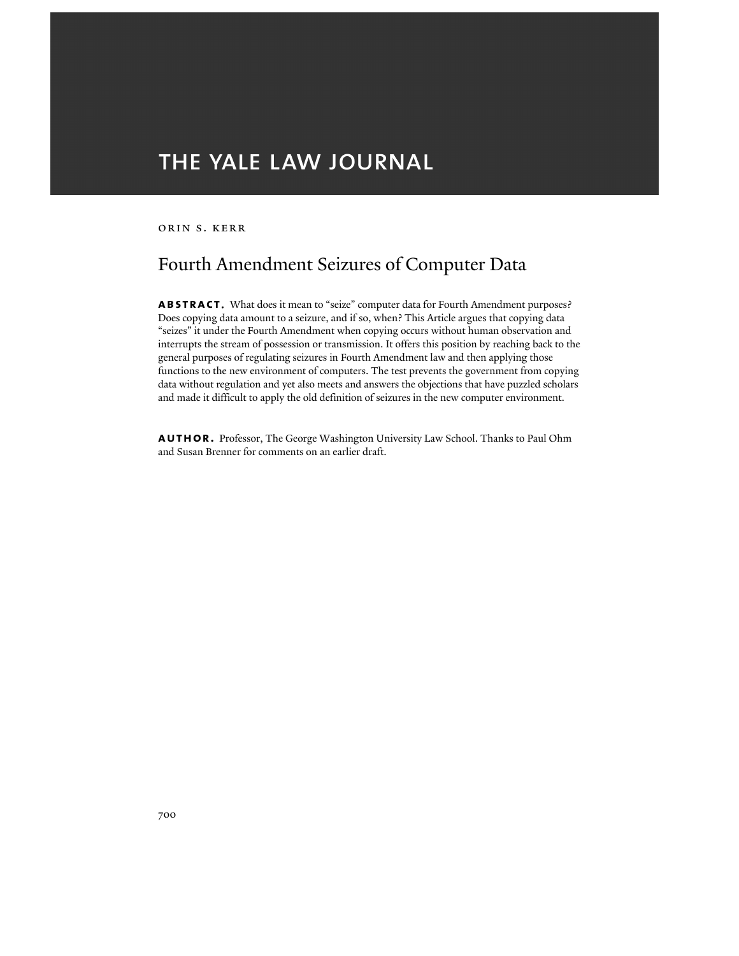# THE YALE LAW JOURNAL

orin s. kerr

# Fourth Amendment Seizures of Computer Data

**abstract**. What does it mean to "seize" computer data for Fourth Amendment purposes? Does copying data amount to a seizure, and if so, when? This Article argues that copying data "seizes" it under the Fourth Amendment when copying occurs without human observation and interrupts the stream of possession or transmission. It offers this position by reaching back to the general purposes of regulating seizures in Fourth Amendment law and then applying those functions to the new environment of computers. The test prevents the government from copying data without regulation and yet also meets and answers the objections that have puzzled scholars and made it difficult to apply the old definition of seizures in the new computer environment.

**author.** Professor, The George Washington University Law School. Thanks to Paul Ohm and Susan Brenner for comments on an earlier draft.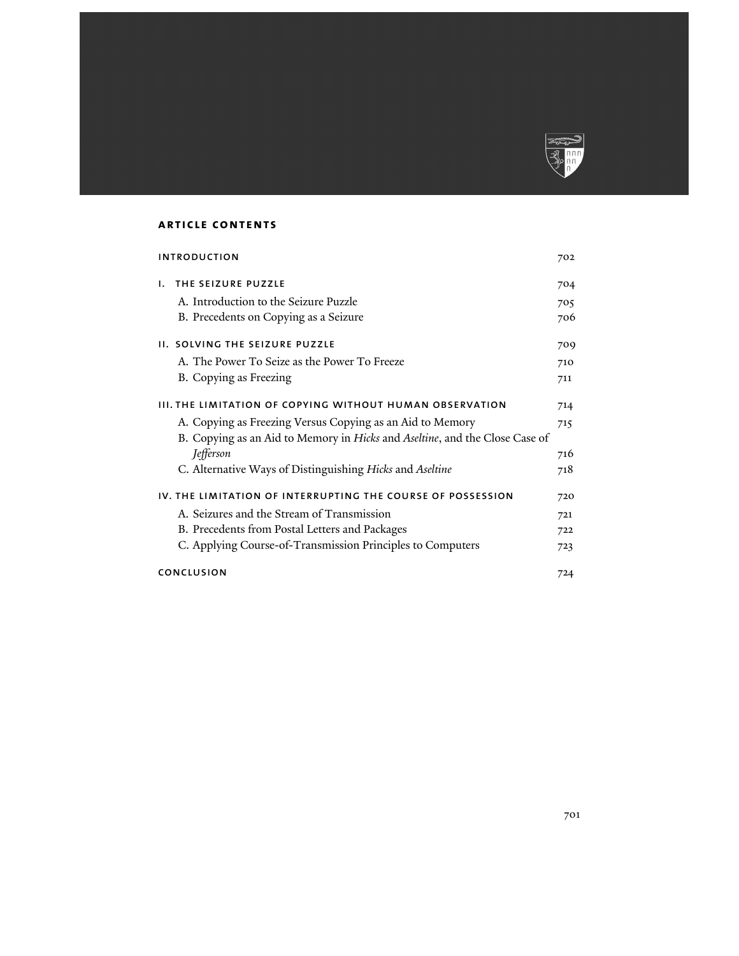

# **article contents**

| <b>INTRODUCTION</b>                                      |                                                                             | 702 |
|----------------------------------------------------------|-----------------------------------------------------------------------------|-----|
| Ι.                                                       | THE SEIZURE PUZZLE                                                          | 704 |
|                                                          | A. Introduction to the Seizure Puzzle                                       | 705 |
|                                                          | B. Precedents on Copying as a Seizure                                       | 706 |
|                                                          | <b>II. SOLVING THE SEIZURE PUZZLE</b>                                       | 709 |
|                                                          | A. The Power To Seize as the Power To Freeze                                | 710 |
|                                                          | B. Copying as Freezing                                                      | 711 |
| III. THE LIMITATION OF COPYING WITHOUT HUMAN OBSERVATION |                                                                             | 714 |
|                                                          | A. Copying as Freezing Versus Copying as an Aid to Memory                   | 715 |
|                                                          | B. Copying as an Aid to Memory in Hicks and Aseltine, and the Close Case of |     |
|                                                          | Jefferson                                                                   | 716 |
|                                                          | C. Alternative Ways of Distinguishing Hicks and Aseltine                    | 718 |
|                                                          | IV. THE LIMITATION OF INTERRUPTING THE COURSE OF POSSESSION                 |     |
|                                                          | A. Seizures and the Stream of Transmission                                  | 721 |
|                                                          | B. Precedents from Postal Letters and Packages                              | 722 |
|                                                          | C. Applying Course-of-Transmission Principles to Computers                  | 723 |
|                                                          | CONCLUSION                                                                  |     |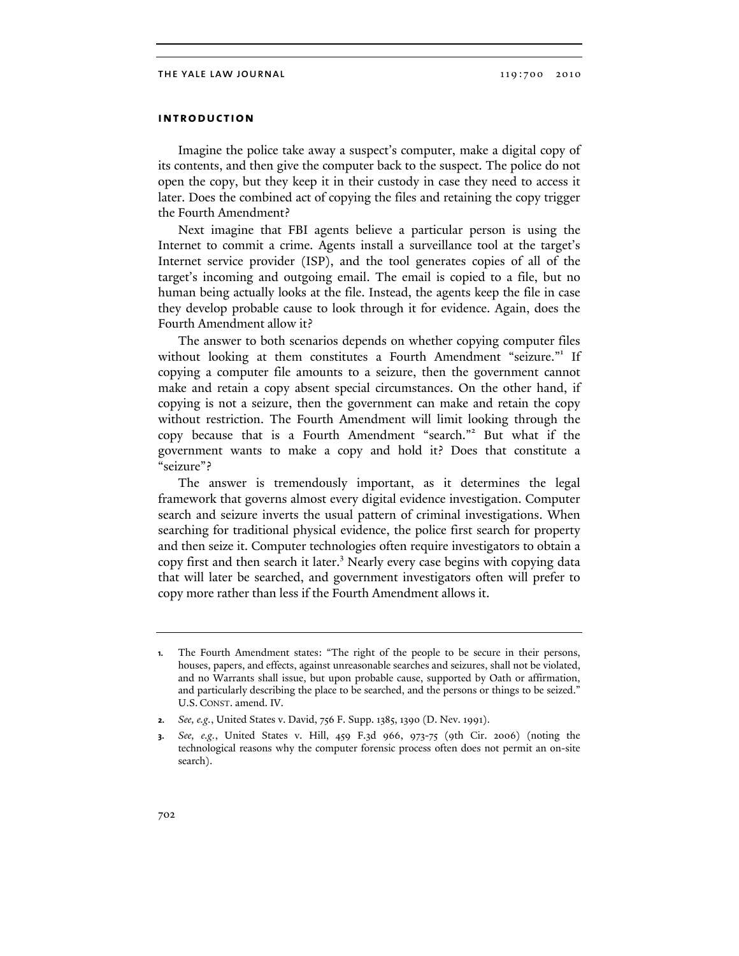## **introduction**

Imagine the police take away a suspect's computer, make a digital copy of its contents, and then give the computer back to the suspect. The police do not open the copy, but they keep it in their custody in case they need to access it later. Does the combined act of copying the files and retaining the copy trigger the Fourth Amendment?

Next imagine that FBI agents believe a particular person is using the Internet to commit a crime. Agents install a surveillance tool at the target's Internet service provider (ISP), and the tool generates copies of all of the target's incoming and outgoing email. The email is copied to a file, but no human being actually looks at the file. Instead, the agents keep the file in case they develop probable cause to look through it for evidence. Again, does the Fourth Amendment allow it?

The answer to both scenarios depends on whether copying computer files without looking at them constitutes a Fourth Amendment "seizure."<sup>1</sup> If copying a computer file amounts to a seizure, then the government cannot make and retain a copy absent special circumstances. On the other hand, if copying is not a seizure, then the government can make and retain the copy without restriction. The Fourth Amendment will limit looking through the copy because that is a Fourth Amendment "search."<sup>2</sup> But what if the government wants to make a copy and hold it? Does that constitute a "seizure"?

The answer is tremendously important, as it determines the legal framework that governs almost every digital evidence investigation. Computer search and seizure inverts the usual pattern of criminal investigations. When searching for traditional physical evidence, the police first search for property and then seize it. Computer technologies often require investigators to obtain a copy first and then search it later.<sup>3</sup> Nearly every case begins with copying data that will later be searched, and government investigators often will prefer to copy more rather than less if the Fourth Amendment allows it.

**<sup>1.</sup>** The Fourth Amendment states: "The right of the people to be secure in their persons, houses, papers, and effects, against unreasonable searches and seizures, shall not be violated, and no Warrants shall issue, but upon probable cause, supported by Oath or affirmation, and particularly describing the place to be searched, and the persons or things to be seized." U.S. CONST. amend. IV.

**<sup>2.</sup>** *See, e.g.*, United States v. David, 756 F. Supp. 1385, 1390 (D. Nev. 1991).

**<sup>3.</sup>** *See, e.g.*, United States v. Hill, 459 F.3d 966, 973-75 (9th Cir. 2006) (noting the technological reasons why the computer forensic process often does not permit an on-site search).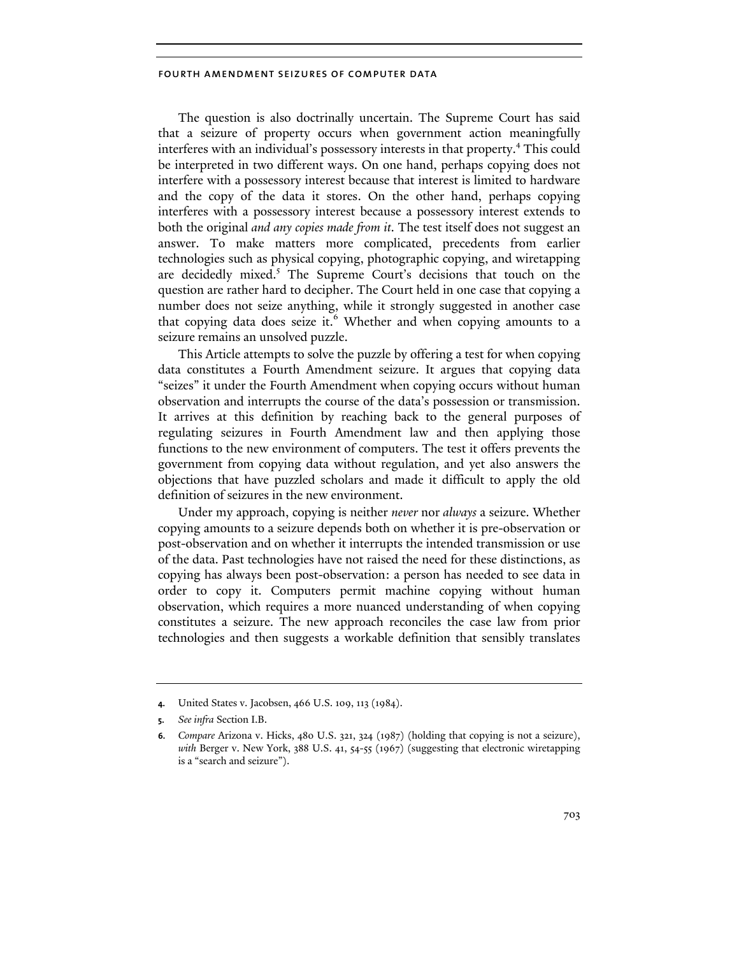The question is also doctrinally uncertain. The Supreme Court has said that a seizure of property occurs when government action meaningfully interferes with an individual's possessory interests in that property.4 This could be interpreted in two different ways. On one hand, perhaps copying does not interfere with a possessory interest because that interest is limited to hardware and the copy of the data it stores. On the other hand, perhaps copying interferes with a possessory interest because a possessory interest extends to both the original *and any copies made from it*. The test itself does not suggest an answer. To make matters more complicated, precedents from earlier technologies such as physical copying, photographic copying, and wiretapping are decidedly mixed.<sup>5</sup> The Supreme Court's decisions that touch on the question are rather hard to decipher. The Court held in one case that copying a number does not seize anything, while it strongly suggested in another case that copying data does seize it.<sup>6</sup> Whether and when copying amounts to a seizure remains an unsolved puzzle.

This Article attempts to solve the puzzle by offering a test for when copying data constitutes a Fourth Amendment seizure. It argues that copying data "seizes" it under the Fourth Amendment when copying occurs without human observation and interrupts the course of the data's possession or transmission. It arrives at this definition by reaching back to the general purposes of regulating seizures in Fourth Amendment law and then applying those functions to the new environment of computers. The test it offers prevents the government from copying data without regulation, and yet also answers the objections that have puzzled scholars and made it difficult to apply the old definition of seizures in the new environment.

Under my approach, copying is neither *never* nor *always* a seizure. Whether copying amounts to a seizure depends both on whether it is pre-observation or post-observation and on whether it interrupts the intended transmission or use of the data. Past technologies have not raised the need for these distinctions, as copying has always been post-observation: a person has needed to see data in order to copy it. Computers permit machine copying without human observation, which requires a more nuanced understanding of when copying constitutes a seizure. The new approach reconciles the case law from prior technologies and then suggests a workable definition that sensibly translates

**<sup>4.</sup>** United States v. Jacobsen, 466 U.S. 109, 113 (1984).

**<sup>5.</sup>** *See infra* Section I.B.

**<sup>6.</sup>** *Compare* Arizona v. Hicks, 480 U.S. 321, 324 (1987) (holding that copying is not a seizure), *with* Berger v. New York, 388 U.S. 41, 54-55 (1967) (suggesting that electronic wiretapping is a "search and seizure").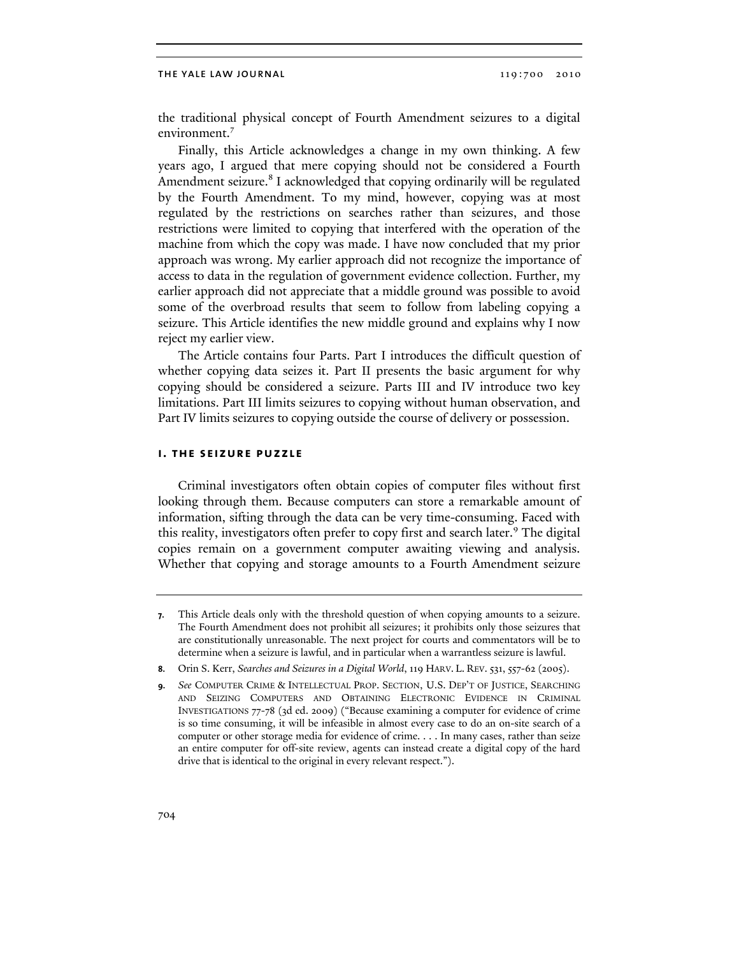the traditional physical concept of Fourth Amendment seizures to a digital environment.<sup>7</sup>

Finally, this Article acknowledges a change in my own thinking. A few years ago, I argued that mere copying should not be considered a Fourth Amendment seizure.<sup>8</sup> I acknowledged that copying ordinarily will be regulated by the Fourth Amendment. To my mind, however, copying was at most regulated by the restrictions on searches rather than seizures, and those restrictions were limited to copying that interfered with the operation of the machine from which the copy was made. I have now concluded that my prior approach was wrong. My earlier approach did not recognize the importance of access to data in the regulation of government evidence collection. Further, my earlier approach did not appreciate that a middle ground was possible to avoid some of the overbroad results that seem to follow from labeling copying a seizure. This Article identifies the new middle ground and explains why I now reject my earlier view.

The Article contains four Parts. Part I introduces the difficult question of whether copying data seizes it. Part II presents the basic argument for why copying should be considered a seizure. Parts III and IV introduce two key limitations. Part III limits seizures to copying without human observation, and Part IV limits seizures to copying outside the course of delivery or possession.

## **i. the seizure puzzle**

Criminal investigators often obtain copies of computer files without first looking through them. Because computers can store a remarkable amount of information, sifting through the data can be very time-consuming. Faced with this reality, investigators often prefer to copy first and search later.<sup>9</sup> The digital copies remain on a government computer awaiting viewing and analysis. Whether that copying and storage amounts to a Fourth Amendment seizure

**<sup>7.</sup>** This Article deals only with the threshold question of when copying amounts to a seizure. The Fourth Amendment does not prohibit all seizures; it prohibits only those seizures that are constitutionally unreasonable. The next project for courts and commentators will be to determine when a seizure is lawful, and in particular when a warrantless seizure is lawful.

**<sup>8.</sup>** Orin S. Kerr, *Searches and Seizures in a Digital World*, 119 HARV. L. REV. 531, 557-62 (2005).

**<sup>9.</sup>** *See* COMPUTER CRIME & INTELLECTUAL PROP. SECTION, U.S. DEP'T OF JUSTICE, SEARCHING AND SEIZING COMPUTERS AND OBTAINING ELECTRONIC EVIDENCE IN CRIMINAL INVESTIGATIONS 77-78 (3d ed. 2009) ("Because examining a computer for evidence of crime is so time consuming, it will be infeasible in almost every case to do an on-site search of a computer or other storage media for evidence of crime. . . . In many cases, rather than seize an entire computer for off-site review, agents can instead create a digital copy of the hard drive that is identical to the original in every relevant respect.").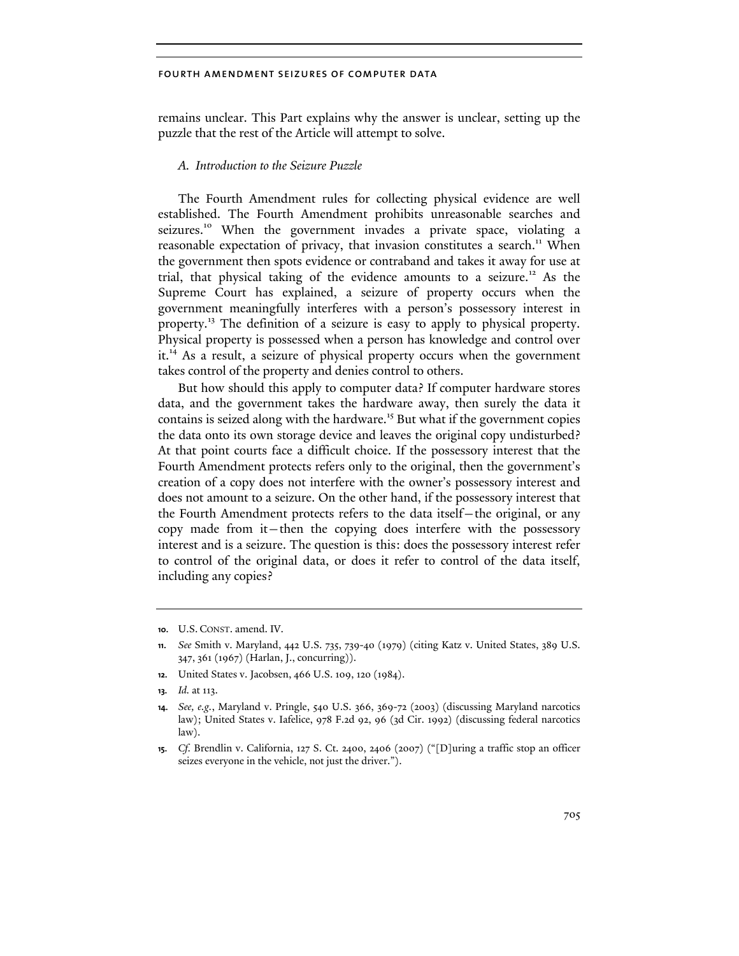remains unclear. This Part explains why the answer is unclear, setting up the puzzle that the rest of the Article will attempt to solve.

## *A. Introduction to the Seizure Puzzle*

The Fourth Amendment rules for collecting physical evidence are well established. The Fourth Amendment prohibits unreasonable searches and seizures.<sup>10</sup> When the government invades a private space, violating a reasonable expectation of privacy, that invasion constitutes a search.<sup>11</sup> When the government then spots evidence or contraband and takes it away for use at trial, that physical taking of the evidence amounts to a seizure.<sup>12</sup> As the Supreme Court has explained, a seizure of property occurs when the government meaningfully interferes with a person's possessory interest in property.13 The definition of a seizure is easy to apply to physical property. Physical property is possessed when a person has knowledge and control over it.14 As a result, a seizure of physical property occurs when the government takes control of the property and denies control to others.

But how should this apply to computer data? If computer hardware stores data, and the government takes the hardware away, then surely the data it contains is seized along with the hardware.<sup>15</sup> But what if the government copies the data onto its own storage device and leaves the original copy undisturbed? At that point courts face a difficult choice. If the possessory interest that the Fourth Amendment protects refers only to the original, then the government's creation of a copy does not interfere with the owner's possessory interest and does not amount to a seizure. On the other hand, if the possessory interest that the Fourth Amendment protects refers to the data itself—the original, or any copy made from it—then the copying does interfere with the possessory interest and is a seizure. The question is this: does the possessory interest refer to control of the original data, or does it refer to control of the data itself, including any copies?

**12.** United States v. Jacobsen, 466 U.S. 109, 120 (1984).

**<sup>10.</sup>** U.S. CONST. amend. IV.

**<sup>11.</sup>** *See* Smith v. Maryland, 442 U.S. 735, 739-40 (1979) (citing Katz v. United States, 389 U.S. 347, 361 (1967) (Harlan, J., concurring)).

**<sup>13.</sup>** *Id.* at 113.

**<sup>14.</sup>** *See, e.g.*, Maryland v. Pringle, 540 U.S. 366, 369-72 (2003) (discussing Maryland narcotics law); United States v. Iafelice, 978 F.2d 92, 96 (3d Cir. 1992) (discussing federal narcotics law).

**<sup>15.</sup>** *Cf.* Brendlin v. California, 127 S. Ct. 2400, 2406 (2007) ("[D]uring a traffic stop an officer seizes everyone in the vehicle, not just the driver.").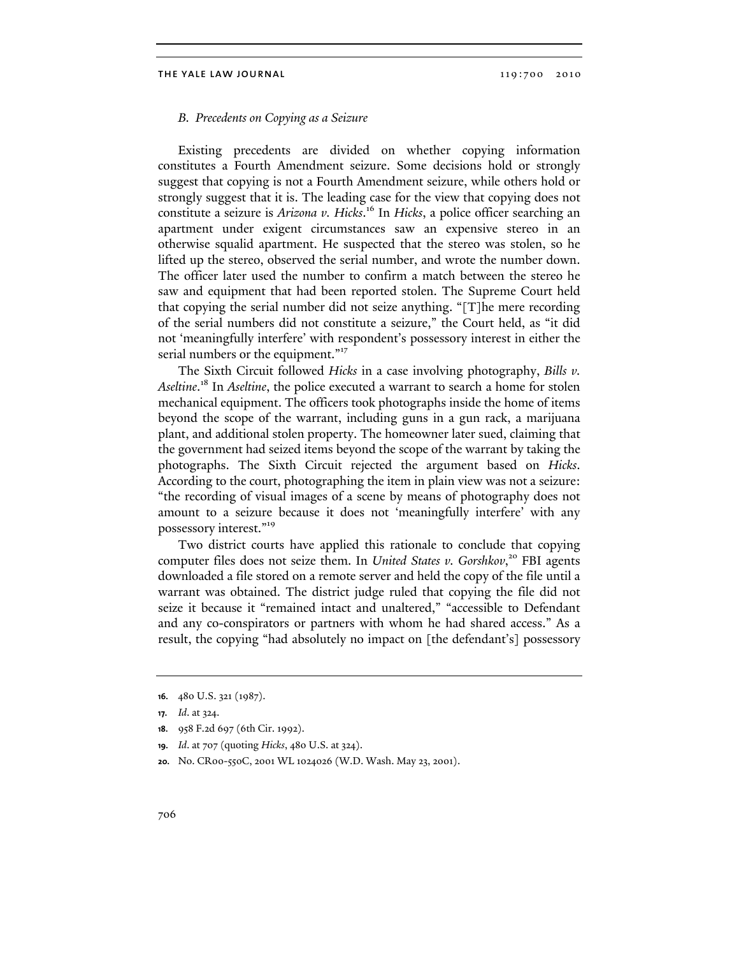## *B. Precedents on Copying as a Seizure*

Existing precedents are divided on whether copying information constitutes a Fourth Amendment seizure. Some decisions hold or strongly suggest that copying is not a Fourth Amendment seizure, while others hold or strongly suggest that it is. The leading case for the view that copying does not constitute a seizure is *Arizona v. Hicks*. 16 In *Hicks*, a police officer searching an apartment under exigent circumstances saw an expensive stereo in an otherwise squalid apartment. He suspected that the stereo was stolen, so he lifted up the stereo, observed the serial number, and wrote the number down. The officer later used the number to confirm a match between the stereo he saw and equipment that had been reported stolen. The Supreme Court held that copying the serial number did not seize anything. "[T]he mere recording of the serial numbers did not constitute a seizure," the Court held, as "it did not 'meaningfully interfere' with respondent's possessory interest in either the serial numbers or the equipment."<sup>17</sup>

The Sixth Circuit followed *Hicks* in a case involving photography, *Bills v. Aseltine*. 18 In *Aseltine*, the police executed a warrant to search a home for stolen mechanical equipment. The officers took photographs inside the home of items beyond the scope of the warrant, including guns in a gun rack, a marijuana plant, and additional stolen property. The homeowner later sued, claiming that the government had seized items beyond the scope of the warrant by taking the photographs. The Sixth Circuit rejected the argument based on *Hicks*. According to the court, photographing the item in plain view was not a seizure: "the recording of visual images of a scene by means of photography does not amount to a seizure because it does not 'meaningfully interfere' with any possessory interest."<sup>19</sup>

Two district courts have applied this rationale to conclude that copying computer files does not seize them. In *United States v. Gorshkov*,<sup>20</sup> FBI agents downloaded a file stored on a remote server and held the copy of the file until a warrant was obtained. The district judge ruled that copying the file did not seize it because it "remained intact and unaltered," "accessible to Defendant and any co-conspirators or partners with whom he had shared access." As a result, the copying "had absolutely no impact on [the defendant's] possessory

- **19.** *Id*. at 707 (quoting *Hicks*, 480 U.S. at 324).
- **20.** No. CR00-550C, 2001 WL 1024026 (W.D. Wash. May 23, 2001).

**<sup>16.</sup>** 480 U.S. 321 (1987).

**<sup>17.</sup>** *Id*. at 324.

**<sup>18.</sup>** 958 F.2d 697 (6th Cir. 1992).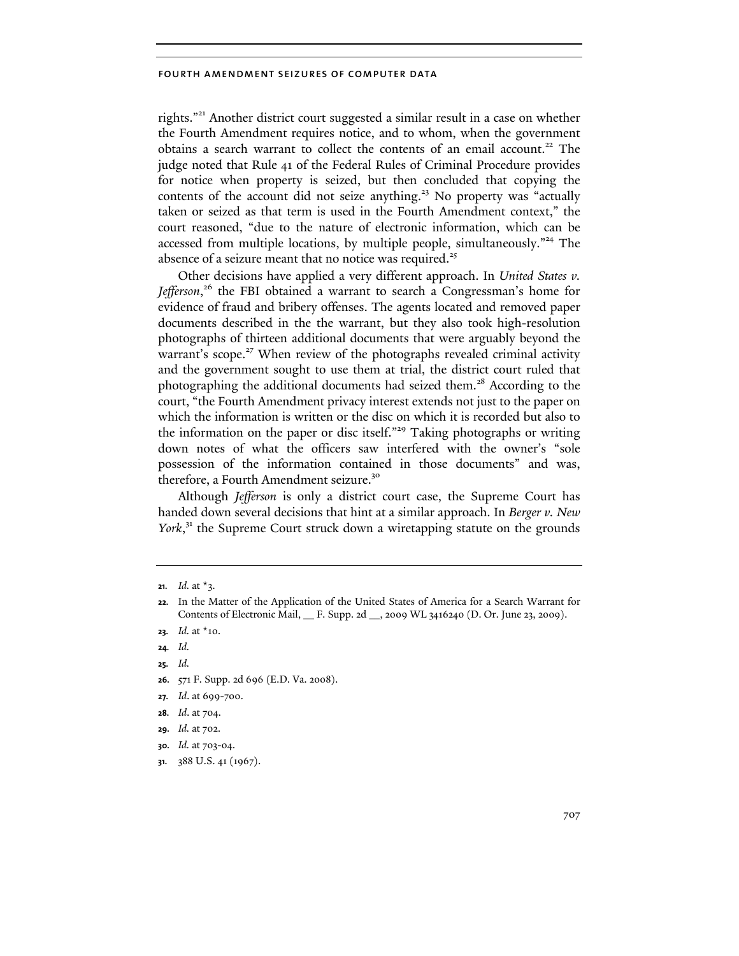rights."21 Another district court suggested a similar result in a case on whether the Fourth Amendment requires notice, and to whom, when the government obtains a search warrant to collect the contents of an email account.<sup>22</sup> The judge noted that Rule 41 of the Federal Rules of Criminal Procedure provides for notice when property is seized, but then concluded that copying the contents of the account did not seize anything.<sup>23</sup> No property was "actually taken or seized as that term is used in the Fourth Amendment context," the court reasoned, "due to the nature of electronic information, which can be accessed from multiple locations, by multiple people, simultaneously."<sup>24</sup> The absence of a seizure meant that no notice was required.<sup>25</sup>

Other decisions have applied a very different approach. In *United States v.*  Jefferson,<sup>26</sup> the FBI obtained a warrant to search a Congressman's home for evidence of fraud and bribery offenses. The agents located and removed paper documents described in the the warrant, but they also took high-resolution photographs of thirteen additional documents that were arguably beyond the warrant's scope.<sup>27</sup> When review of the photographs revealed criminal activity and the government sought to use them at trial, the district court ruled that photographing the additional documents had seized them.<sup>28</sup> According to the court, "the Fourth Amendment privacy interest extends not just to the paper on which the information is written or the disc on which it is recorded but also to the information on the paper or disc itself."<sup>29</sup> Taking photographs or writing down notes of what the officers saw interfered with the owner's "sole possession of the information contained in those documents" and was, therefore, a Fourth Amendment seizure.<sup>30</sup>

Although *Jefferson* is only a district court case, the Supreme Court has handed down several decisions that hint at a similar approach. In *Berger v. New*  York,<sup>31</sup> the Supreme Court struck down a wiretapping statute on the grounds

- **23.** *Id.* at \*10.
- **24.** *Id.*
- **25.** *Id.*
- **26.** 571 F. Supp. 2d 696 (E.D. Va. 2008).
- **27.** *Id*. at 699-700.
- **28.** *Id*. at 704.
- **29.** *Id.* at 702.
- **30.** *Id.* at 703-04.
- **31.** 388 U.S. 41 (1967).

**<sup>21.</sup>** *Id.* at  $*$ 3.

**<sup>22.</sup>** In the Matter of the Application of the United States of America for a Search Warrant for Contents of Electronic Mail, \_\_ F. Supp. 2d \_\_, 2009 WL 3416240 (D. Or. June 23, 2009).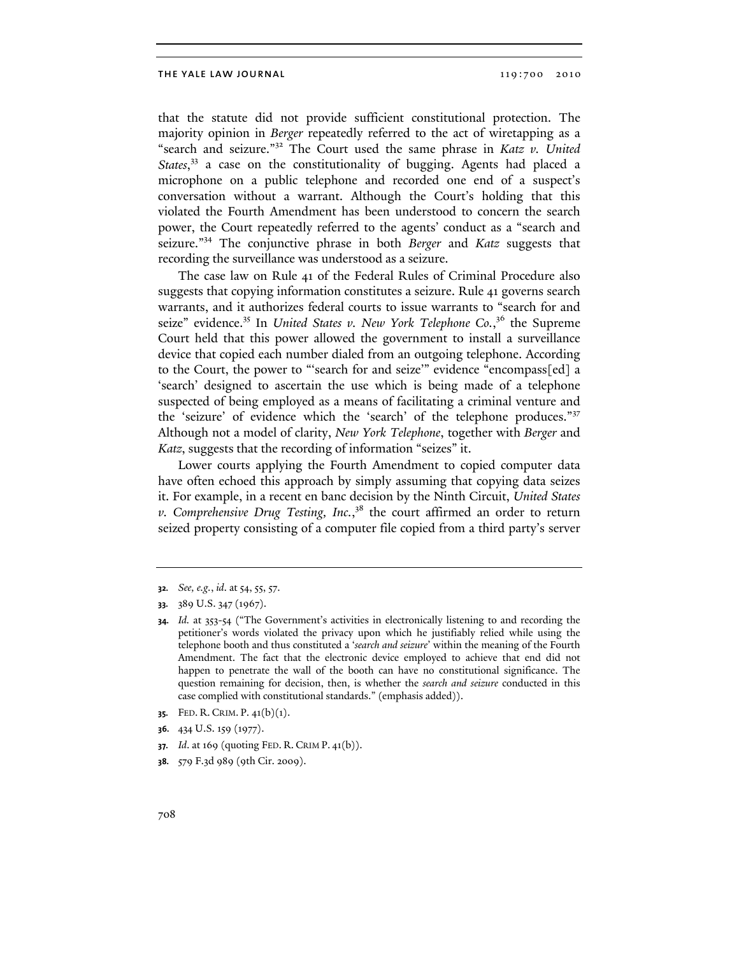### THE YALE LAW JOURNAL 2010 2010 2010

that the statute did not provide sufficient constitutional protection. The majority opinion in *Berger* repeatedly referred to the act of wiretapping as a "search and seizure."32 The Court used the same phrase in *Katz v. United*  States,<sup>33</sup> a case on the constitutionality of bugging. Agents had placed a microphone on a public telephone and recorded one end of a suspect's conversation without a warrant. Although the Court's holding that this violated the Fourth Amendment has been understood to concern the search power, the Court repeatedly referred to the agents' conduct as a "search and seizure."34 The conjunctive phrase in both *Berger* and *Katz* suggests that recording the surveillance was understood as a seizure.

The case law on Rule 41 of the Federal Rules of Criminal Procedure also suggests that copying information constitutes a seizure. Rule 41 governs search warrants, and it authorizes federal courts to issue warrants to "search for and seize" evidence.<sup>35</sup> In *United States v. New York Telephone Co.*,<sup>36</sup> the Supreme Court held that this power allowed the government to install a surveillance device that copied each number dialed from an outgoing telephone. According to the Court, the power to "'search for and seize'" evidence "encompass[ed] a 'search' designed to ascertain the use which is being made of a telephone suspected of being employed as a means of facilitating a criminal venture and the 'seizure' of evidence which the 'search' of the telephone produces."<sup>37</sup> Although not a model of clarity, *New York Telephone*, together with *Berger* and *Katz*, suggests that the recording of information "seizes" it.

Lower courts applying the Fourth Amendment to copied computer data have often echoed this approach by simply assuming that copying data seizes it. For example, in a recent en banc decision by the Ninth Circuit, *United States v. Comprehensive Drug Testing, Inc.*, 38 the court affirmed an order to return seized property consisting of a computer file copied from a third party's server

**35.** FED. R. CRIM. P. 41(b)(1).

**36.** 434 U.S. 159 (1977).

- **37.** *Id*. at 169 (quoting FED. R. CRIM P. 41(b)).
- **38.** 579 F.3d 989 (9th Cir. 2009).

**<sup>32.</sup>** *See, e.g.*, *id*. at 54, 55, 57.

**<sup>33.</sup>** 389 U.S. 347 (1967).

**<sup>34.</sup>** *Id.* at 353-54 ("The Government's activities in electronically listening to and recording the petitioner's words violated the privacy upon which he justifiably relied while using the telephone booth and thus constituted a '*search and seizure*' within the meaning of the Fourth Amendment. The fact that the electronic device employed to achieve that end did not happen to penetrate the wall of the booth can have no constitutional significance. The question remaining for decision, then, is whether the *search and seizure* conducted in this case complied with constitutional standards." (emphasis added)).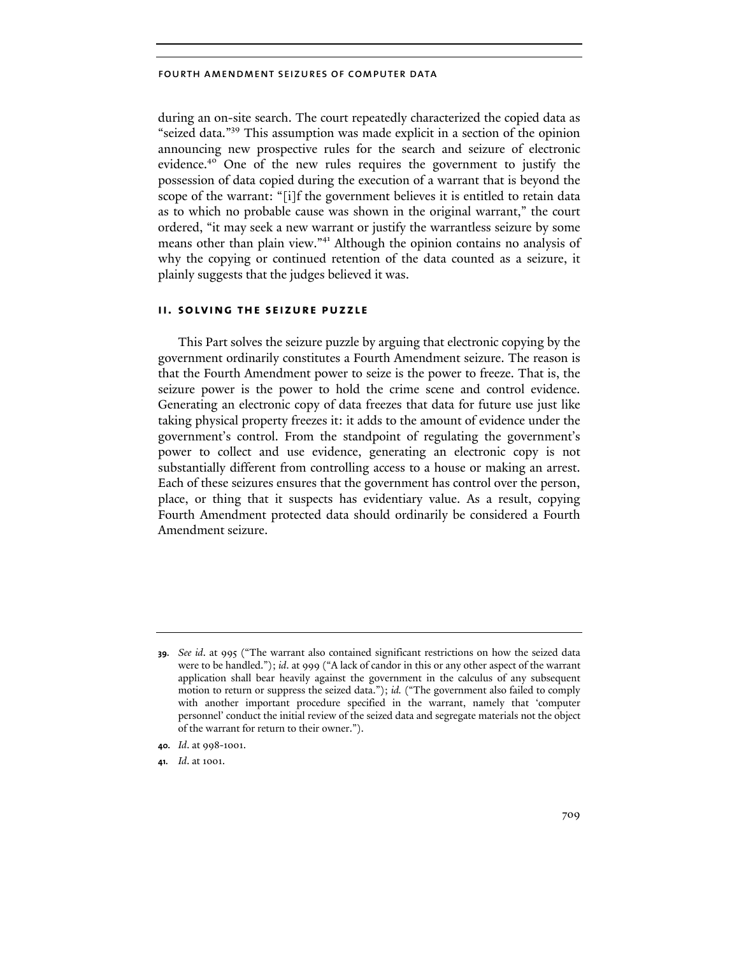during an on-site search. The court repeatedly characterized the copied data as "seized data."39 This assumption was made explicit in a section of the opinion announcing new prospective rules for the search and seizure of electronic evidence.40 One of the new rules requires the government to justify the possession of data copied during the execution of a warrant that is beyond the scope of the warrant: "[i]f the government believes it is entitled to retain data as to which no probable cause was shown in the original warrant," the court ordered, "it may seek a new warrant or justify the warrantless seizure by some means other than plain view."<sup>41</sup> Although the opinion contains no analysis of why the copying or continued retention of the data counted as a seizure, it plainly suggests that the judges believed it was.

## **ii. solving the seizure puzzle**

This Part solves the seizure puzzle by arguing that electronic copying by the government ordinarily constitutes a Fourth Amendment seizure. The reason is that the Fourth Amendment power to seize is the power to freeze. That is, the seizure power is the power to hold the crime scene and control evidence. Generating an electronic copy of data freezes that data for future use just like taking physical property freezes it: it adds to the amount of evidence under the government's control. From the standpoint of regulating the government's power to collect and use evidence, generating an electronic copy is not substantially different from controlling access to a house or making an arrest. Each of these seizures ensures that the government has control over the person, place, or thing that it suspects has evidentiary value. As a result, copying Fourth Amendment protected data should ordinarily be considered a Fourth Amendment seizure.

**<sup>39.</sup>** *See id*. at 995 ("The warrant also contained significant restrictions on how the seized data were to be handled."); *id*. at 999 ("A lack of candor in this or any other aspect of the warrant application shall bear heavily against the government in the calculus of any subsequent motion to return or suppress the seized data."); *id.* ("The government also failed to comply with another important procedure specified in the warrant, namely that 'computer personnel' conduct the initial review of the seized data and segregate materials not the object of the warrant for return to their owner.").

**<sup>40.</sup>** *Id*. at 998-1001.

**<sup>41.</sup>** *Id*. at 1001.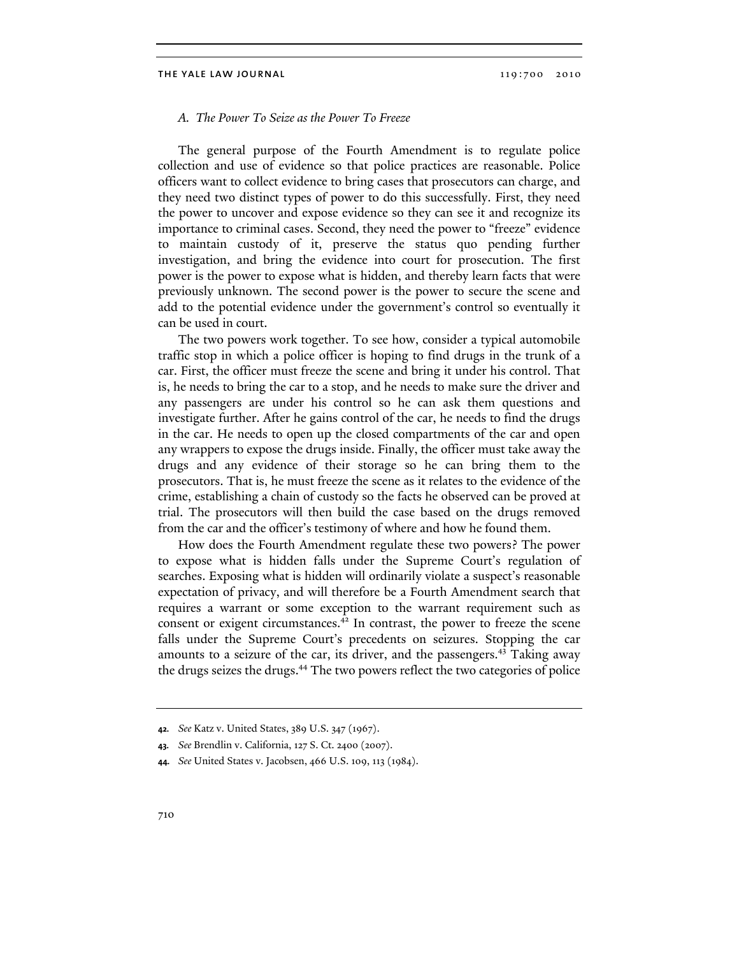## *A. The Power To Seize as the Power To Freeze*

The general purpose of the Fourth Amendment is to regulate police collection and use of evidence so that police practices are reasonable. Police officers want to collect evidence to bring cases that prosecutors can charge, and they need two distinct types of power to do this successfully. First, they need the power to uncover and expose evidence so they can see it and recognize its importance to criminal cases. Second, they need the power to "freeze" evidence to maintain custody of it, preserve the status quo pending further investigation, and bring the evidence into court for prosecution. The first power is the power to expose what is hidden, and thereby learn facts that were previously unknown. The second power is the power to secure the scene and add to the potential evidence under the government's control so eventually it can be used in court.

The two powers work together. To see how, consider a typical automobile traffic stop in which a police officer is hoping to find drugs in the trunk of a car. First, the officer must freeze the scene and bring it under his control. That is, he needs to bring the car to a stop, and he needs to make sure the driver and any passengers are under his control so he can ask them questions and investigate further. After he gains control of the car, he needs to find the drugs in the car. He needs to open up the closed compartments of the car and open any wrappers to expose the drugs inside. Finally, the officer must take away the drugs and any evidence of their storage so he can bring them to the prosecutors. That is, he must freeze the scene as it relates to the evidence of the crime, establishing a chain of custody so the facts he observed can be proved at trial. The prosecutors will then build the case based on the drugs removed from the car and the officer's testimony of where and how he found them.

How does the Fourth Amendment regulate these two powers? The power to expose what is hidden falls under the Supreme Court's regulation of searches. Exposing what is hidden will ordinarily violate a suspect's reasonable expectation of privacy, and will therefore be a Fourth Amendment search that requires a warrant or some exception to the warrant requirement such as consent or exigent circumstances.<sup>42</sup> In contrast, the power to freeze the scene falls under the Supreme Court's precedents on seizures. Stopping the car amounts to a seizure of the car, its driver, and the passengers.<sup>43</sup> Taking away the drugs seizes the drugs.<sup>44</sup> The two powers reflect the two categories of police

**<sup>42.</sup>** *See* Katz v. United States, 389 U.S. 347 (1967).

**<sup>43.</sup>** *See* Brendlin v. California, 127 S. Ct. 2400 (2007).

**<sup>44.</sup>** *See* United States v. Jacobsen, 466 U.S. 109, 113 (1984).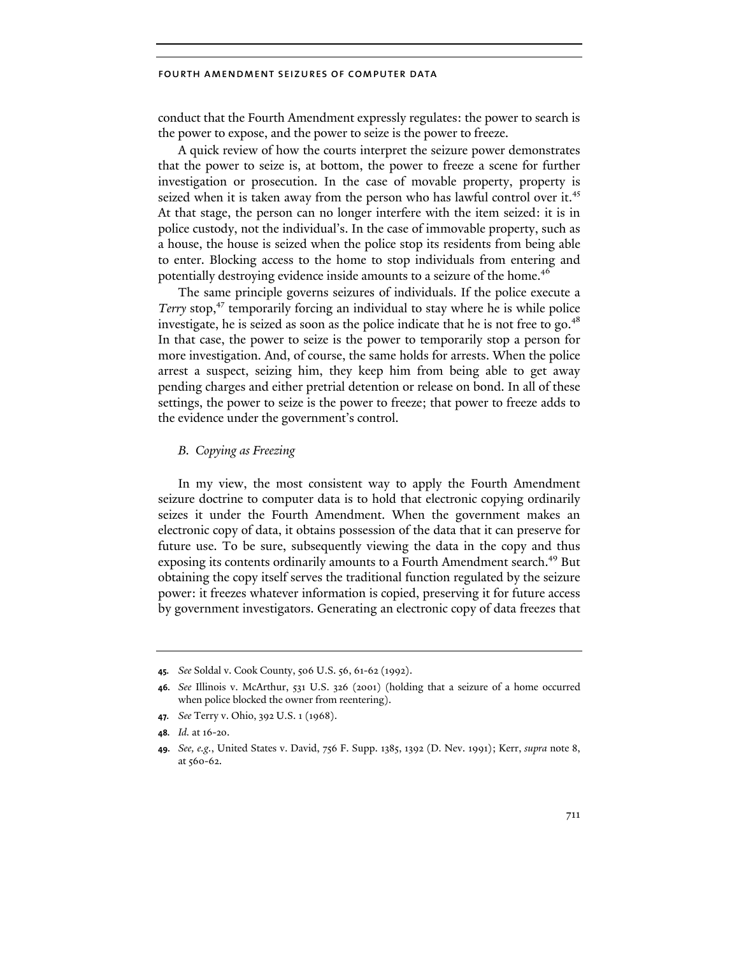conduct that the Fourth Amendment expressly regulates: the power to search is the power to expose, and the power to seize is the power to freeze.

A quick review of how the courts interpret the seizure power demonstrates that the power to seize is, at bottom, the power to freeze a scene for further investigation or prosecution. In the case of movable property, property is seized when it is taken away from the person who has lawful control over it.<sup>45</sup> At that stage, the person can no longer interfere with the item seized: it is in police custody, not the individual's. In the case of immovable property, such as a house, the house is seized when the police stop its residents from being able to enter. Blocking access to the home to stop individuals from entering and potentially destroying evidence inside amounts to a seizure of the home.<sup>46</sup>

The same principle governs seizures of individuals. If the police execute a *Terry* stop,<sup>47</sup> temporarily forcing an individual to stay where he is while police investigate, he is seized as soon as the police indicate that he is not free to go. $48$ In that case, the power to seize is the power to temporarily stop a person for more investigation. And, of course, the same holds for arrests. When the police arrest a suspect, seizing him, they keep him from being able to get away pending charges and either pretrial detention or release on bond. In all of these settings, the power to seize is the power to freeze; that power to freeze adds to the evidence under the government's control.

## *B. Copying as Freezing*

In my view, the most consistent way to apply the Fourth Amendment seizure doctrine to computer data is to hold that electronic copying ordinarily seizes it under the Fourth Amendment. When the government makes an electronic copy of data, it obtains possession of the data that it can preserve for future use. To be sure, subsequently viewing the data in the copy and thus exposing its contents ordinarily amounts to a Fourth Amendment search.<sup>49</sup> But obtaining the copy itself serves the traditional function regulated by the seizure power: it freezes whatever information is copied, preserving it for future access by government investigators. Generating an electronic copy of data freezes that

**<sup>45.</sup>** *See* Soldal v. Cook County, 506 U.S. 56, 61-62 (1992).

**<sup>46.</sup>** *See* Illinois v. McArthur, 531 U.S. 326 (2001) (holding that a seizure of a home occurred when police blocked the owner from reentering).

**<sup>47.</sup>** *See* Terry v. Ohio, 392 U.S. 1 (1968).

**<sup>48.</sup>** *Id.* at 16-20.

**<sup>49.</sup>** *See, e.g.*, United States v. David, 756 F. Supp. 1385, 1392 (D. Nev. 1991); Kerr, *supra* note 8, at 560-62.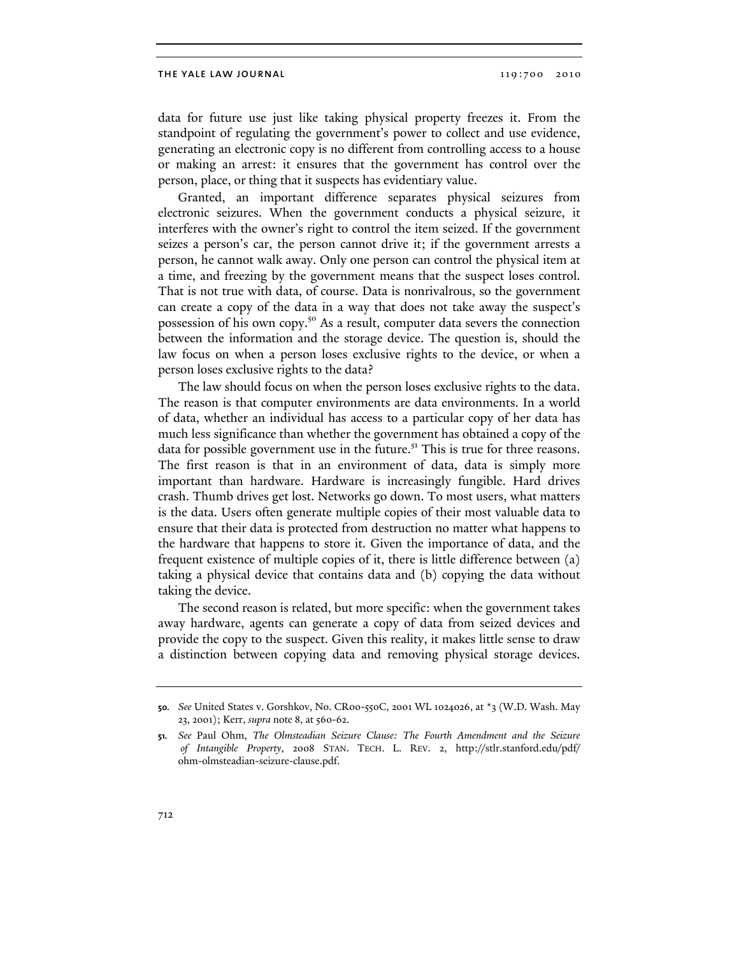data for future use just like taking physical property freezes it. From the standpoint of regulating the government's power to collect and use evidence, generating an electronic copy is no different from controlling access to a house or making an arrest: it ensures that the government has control over the person, place, or thing that it suspects has evidentiary value.

Granted, an important difference separates physical seizures from electronic seizures. When the government conducts a physical seizure, it interferes with the owner's right to control the item seized. If the government seizes a person's car, the person cannot drive it; if the government arrests a person, he cannot walk away. Only one person can control the physical item at a time, and freezing by the government means that the suspect loses control. That is not true with data, of course. Data is nonrivalrous, so the government can create a copy of the data in a way that does not take away the suspect's possession of his own copy.<sup>50</sup> As a result, computer data severs the connection between the information and the storage device. The question is, should the law focus on when a person loses exclusive rights to the device, or when a person loses exclusive rights to the data?

The law should focus on when the person loses exclusive rights to the data. The reason is that computer environments are data environments. In a world of data, whether an individual has access to a particular copy of her data has much less significance than whether the government has obtained a copy of the data for possible government use in the future.<sup>51</sup> This is true for three reasons. The first reason is that in an environment of data, data is simply more important than hardware. Hardware is increasingly fungible. Hard drives crash. Thumb drives get lost. Networks go down. To most users, what matters is the data. Users often generate multiple copies of their most valuable data to ensure that their data is protected from destruction no matter what happens to the hardware that happens to store it. Given the importance of data, and the frequent existence of multiple copies of it, there is little difference between (a) taking a physical device that contains data and (b) copying the data without taking the device.

The second reason is related, but more specific: when the government takes away hardware, agents can generate a copy of data from seized devices and provide the copy to the suspect. Given this reality, it makes little sense to draw a distinction between copying data and removing physical storage devices.

**<sup>50.</sup>** *See* United States v. Gorshkov, No. CR00-550C, 2001 WL 1024026, at \*3 (W.D. Wash. May 23, 2001); Kerr, *supra* note 8, at 560-62.

**<sup>51.</sup>** *See* Paul Ohm, *The Olmsteadian Seizure Clause: The Fourth Amendment and the Seizure of Intangible Property*, 2008 STAN. TECH. L. REV. 2, http://stlr.stanford.edu/pdf/ ohm-olmsteadian-seizure-clause.pdf.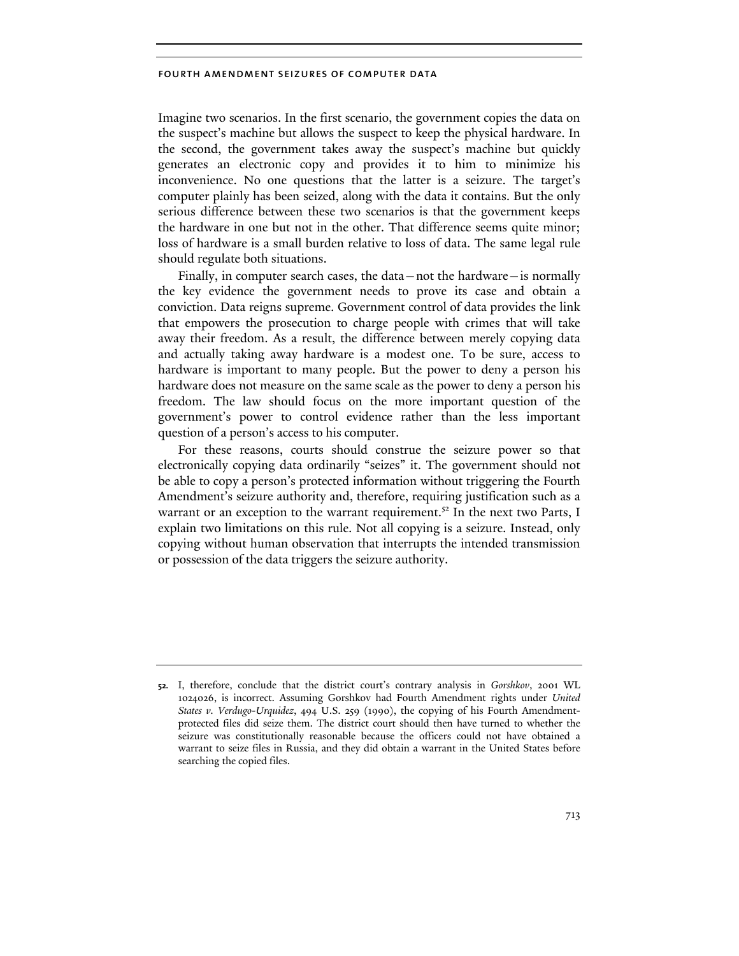Imagine two scenarios. In the first scenario, the government copies the data on the suspect's machine but allows the suspect to keep the physical hardware. In the second, the government takes away the suspect's machine but quickly generates an electronic copy and provides it to him to minimize his inconvenience. No one questions that the latter is a seizure. The target's computer plainly has been seized, along with the data it contains. But the only serious difference between these two scenarios is that the government keeps the hardware in one but not in the other. That difference seems quite minor; loss of hardware is a small burden relative to loss of data. The same legal rule should regulate both situations.

Finally, in computer search cases, the data—not the hardware—is normally the key evidence the government needs to prove its case and obtain a conviction. Data reigns supreme. Government control of data provides the link that empowers the prosecution to charge people with crimes that will take away their freedom. As a result, the difference between merely copying data and actually taking away hardware is a modest one. To be sure, access to hardware is important to many people. But the power to deny a person his hardware does not measure on the same scale as the power to deny a person his freedom. The law should focus on the more important question of the government's power to control evidence rather than the less important question of a person's access to his computer.

For these reasons, courts should construe the seizure power so that electronically copying data ordinarily "seizes" it. The government should not be able to copy a person's protected information without triggering the Fourth Amendment's seizure authority and, therefore, requiring justification such as a warrant or an exception to the warrant requirement.<sup>52</sup> In the next two Parts, I explain two limitations on this rule. Not all copying is a seizure. Instead, only copying without human observation that interrupts the intended transmission or possession of the data triggers the seizure authority.

**<sup>52.</sup>** I, therefore, conclude that the district court's contrary analysis in *Gorshkov*, 2001 WL 1024026, is incorrect. Assuming Gorshkov had Fourth Amendment rights under *United States v. Verdugo-Urquidez*, 494 U.S. 259 (1990), the copying of his Fourth Amendmentprotected files did seize them. The district court should then have turned to whether the seizure was constitutionally reasonable because the officers could not have obtained a warrant to seize files in Russia, and they did obtain a warrant in the United States before searching the copied files.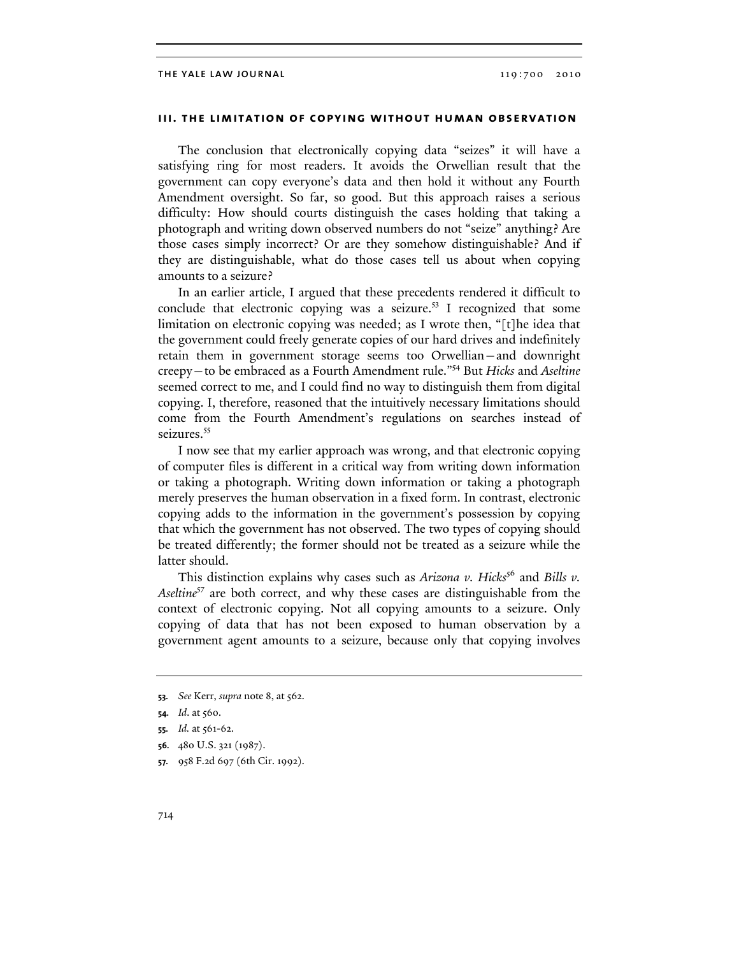## **iii. the limitation of copying without human observation**

The conclusion that electronically copying data "seizes" it will have a satisfying ring for most readers. It avoids the Orwellian result that the government can copy everyone's data and then hold it without any Fourth Amendment oversight. So far, so good. But this approach raises a serious difficulty: How should courts distinguish the cases holding that taking a photograph and writing down observed numbers do not "seize" anything? Are those cases simply incorrect? Or are they somehow distinguishable? And if they are distinguishable, what do those cases tell us about when copying amounts to a seizure?

In an earlier article, I argued that these precedents rendered it difficult to conclude that electronic copying was a seizure.<sup>53</sup> I recognized that some limitation on electronic copying was needed; as I wrote then, "[t]he idea that the government could freely generate copies of our hard drives and indefinitely retain them in government storage seems too Orwellian—and downright creepy—to be embraced as a Fourth Amendment rule."54 But *Hicks* and *Aseltine* seemed correct to me, and I could find no way to distinguish them from digital copying. I, therefore, reasoned that the intuitively necessary limitations should come from the Fourth Amendment's regulations on searches instead of seizures.<sup>55</sup>

I now see that my earlier approach was wrong, and that electronic copying of computer files is different in a critical way from writing down information or taking a photograph. Writing down information or taking a photograph merely preserves the human observation in a fixed form. In contrast, electronic copying adds to the information in the government's possession by copying that which the government has not observed. The two types of copying should be treated differently; the former should not be treated as a seizure while the latter should.

This distinction explains why cases such as *Arizona v. Hicks<sup>56</sup>* and *Bills v. Aseltine*57 are both correct, and why these cases are distinguishable from the context of electronic copying. Not all copying amounts to a seizure. Only copying of data that has not been exposed to human observation by a government agent amounts to a seizure, because only that copying involves

- **56.** 480 U.S. 321 (1987).
- **57.** 958 F.2d 697 (6th Cir. 1992).

**<sup>53.</sup>** *See* Kerr, *supra* note 8, at 562.

**<sup>54.</sup>** *Id*. at 560.

**<sup>55.</sup>** *Id.* at 561-62.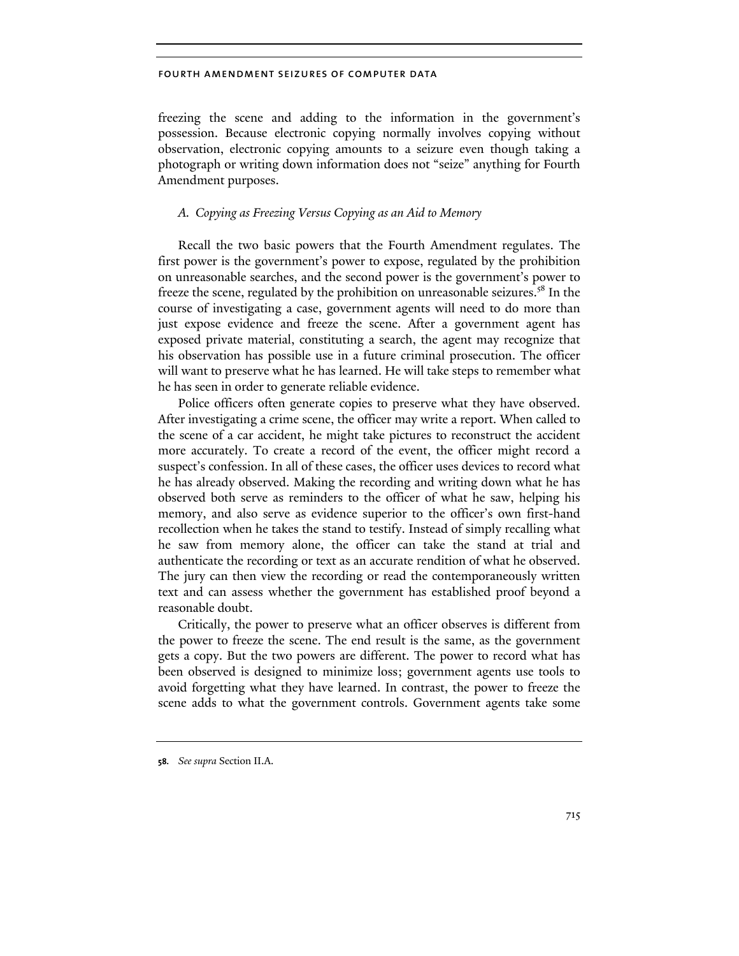freezing the scene and adding to the information in the government's possession. Because electronic copying normally involves copying without observation, electronic copying amounts to a seizure even though taking a photograph or writing down information does not "seize" anything for Fourth Amendment purposes.

# *A. Copying as Freezing Versus Copying as an Aid to Memory*

Recall the two basic powers that the Fourth Amendment regulates. The first power is the government's power to expose, regulated by the prohibition on unreasonable searches, and the second power is the government's power to freeze the scene, regulated by the prohibition on unreasonable seizures.<sup>58</sup> In the course of investigating a case, government agents will need to do more than just expose evidence and freeze the scene. After a government agent has exposed private material, constituting a search, the agent may recognize that his observation has possible use in a future criminal prosecution. The officer will want to preserve what he has learned. He will take steps to remember what he has seen in order to generate reliable evidence.

Police officers often generate copies to preserve what they have observed. After investigating a crime scene, the officer may write a report. When called to the scene of a car accident, he might take pictures to reconstruct the accident more accurately. To create a record of the event, the officer might record a suspect's confession. In all of these cases, the officer uses devices to record what he has already observed. Making the recording and writing down what he has observed both serve as reminders to the officer of what he saw, helping his memory, and also serve as evidence superior to the officer's own first-hand recollection when he takes the stand to testify. Instead of simply recalling what he saw from memory alone, the officer can take the stand at trial and authenticate the recording or text as an accurate rendition of what he observed. The jury can then view the recording or read the contemporaneously written text and can assess whether the government has established proof beyond a reasonable doubt.

Critically, the power to preserve what an officer observes is different from the power to freeze the scene. The end result is the same, as the government gets a copy. But the two powers are different. The power to record what has been observed is designed to minimize loss; government agents use tools to avoid forgetting what they have learned. In contrast, the power to freeze the scene adds to what the government controls. Government agents take some

**<sup>58.</sup>** *See supra* Section II.A.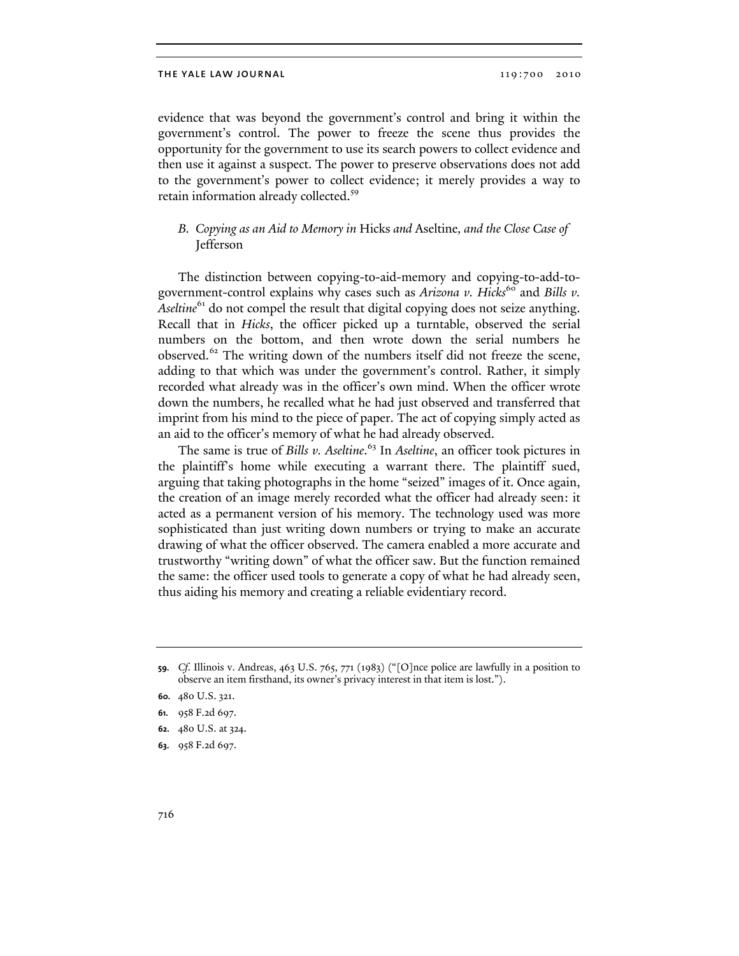evidence that was beyond the government's control and bring it within the government's control. The power to freeze the scene thus provides the opportunity for the government to use its search powers to collect evidence and then use it against a suspect. The power to preserve observations does not add to the government's power to collect evidence; it merely provides a way to retain information already collected.<sup>59</sup>

# *B. Copying as an Aid to Memory in* Hicks *and* Aseltine*, and the Close Case of*  Jefferson

The distinction between copying-to-aid-memory and copying-to-add-togovernment-control explains why cases such as *Arizona v. Hicks*<sup>60</sup> and *Bills v. Aseltine*<sup>61</sup> do not compel the result that digital copying does not seize anything. Recall that in *Hicks*, the officer picked up a turntable, observed the serial numbers on the bottom, and then wrote down the serial numbers he observed.<sup>62</sup> The writing down of the numbers itself did not freeze the scene, adding to that which was under the government's control. Rather, it simply recorded what already was in the officer's own mind. When the officer wrote down the numbers, he recalled what he had just observed and transferred that imprint from his mind to the piece of paper. The act of copying simply acted as an aid to the officer's memory of what he had already observed.

The same is true of *Bills v. Aseltine*. 63 In *Aseltine*, an officer took pictures in the plaintiff's home while executing a warrant there. The plaintiff sued, arguing that taking photographs in the home "seized" images of it. Once again, the creation of an image merely recorded what the officer had already seen: it acted as a permanent version of his memory. The technology used was more sophisticated than just writing down numbers or trying to make an accurate drawing of what the officer observed. The camera enabled a more accurate and trustworthy "writing down" of what the officer saw. But the function remained the same: the officer used tools to generate a copy of what he had already seen, thus aiding his memory and creating a reliable evidentiary record.

**62.** 480 U.S. at 324.

**<sup>59.</sup>** *Cf.* Illinois v. Andreas, 463 U.S. 765, 771 (1983) ("[O]nce police are lawfully in a position to observe an item firsthand, its owner's privacy interest in that item is lost.").

**<sup>60.</sup>** 480 U.S. 321.

**<sup>61.</sup>** 958 F.2d 697.

**<sup>63.</sup>** 958 F.2d 697.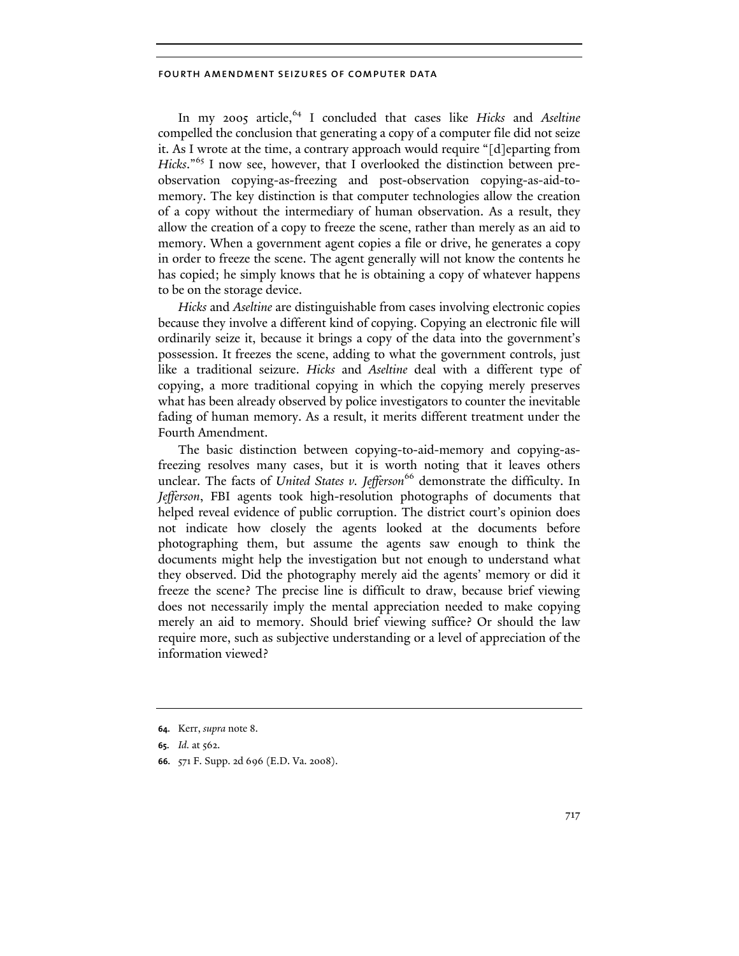In my 2005 article,<sup>64</sup> I concluded that cases like *Hicks* and *Aseltine* compelled the conclusion that generating a copy of a computer file did not seize it. As I wrote at the time, a contrary approach would require "[d]eparting from *Hicks*."65 I now see, however, that I overlooked the distinction between preobservation copying-as-freezing and post-observation copying-as-aid-tomemory. The key distinction is that computer technologies allow the creation of a copy without the intermediary of human observation. As a result, they allow the creation of a copy to freeze the scene, rather than merely as an aid to memory. When a government agent copies a file or drive, he generates a copy in order to freeze the scene. The agent generally will not know the contents he has copied; he simply knows that he is obtaining a copy of whatever happens to be on the storage device.

*Hicks* and *Aseltine* are distinguishable from cases involving electronic copies because they involve a different kind of copying. Copying an electronic file will ordinarily seize it, because it brings a copy of the data into the government's possession. It freezes the scene, adding to what the government controls, just like a traditional seizure. *Hicks* and *Aseltine* deal with a different type of copying, a more traditional copying in which the copying merely preserves what has been already observed by police investigators to counter the inevitable fading of human memory. As a result, it merits different treatment under the Fourth Amendment.

The basic distinction between copying-to-aid-memory and copying-asfreezing resolves many cases, but it is worth noting that it leaves others unclear. The facts of *United States v. Jefferson*<sup>66</sup> demonstrate the difficulty. In *Jefferson*, FBI agents took high-resolution photographs of documents that helped reveal evidence of public corruption. The district court's opinion does not indicate how closely the agents looked at the documents before photographing them, but assume the agents saw enough to think the documents might help the investigation but not enough to understand what they observed. Did the photography merely aid the agents' memory or did it freeze the scene? The precise line is difficult to draw, because brief viewing does not necessarily imply the mental appreciation needed to make copying merely an aid to memory. Should brief viewing suffice? Or should the law require more, such as subjective understanding or a level of appreciation of the information viewed?

**<sup>64.</sup>** Kerr, *supra* note 8.

**<sup>65.</sup>** *Id.* at 562.

**<sup>66.</sup>** 571 F. Supp. 2d 696 (E.D. Va. 2008).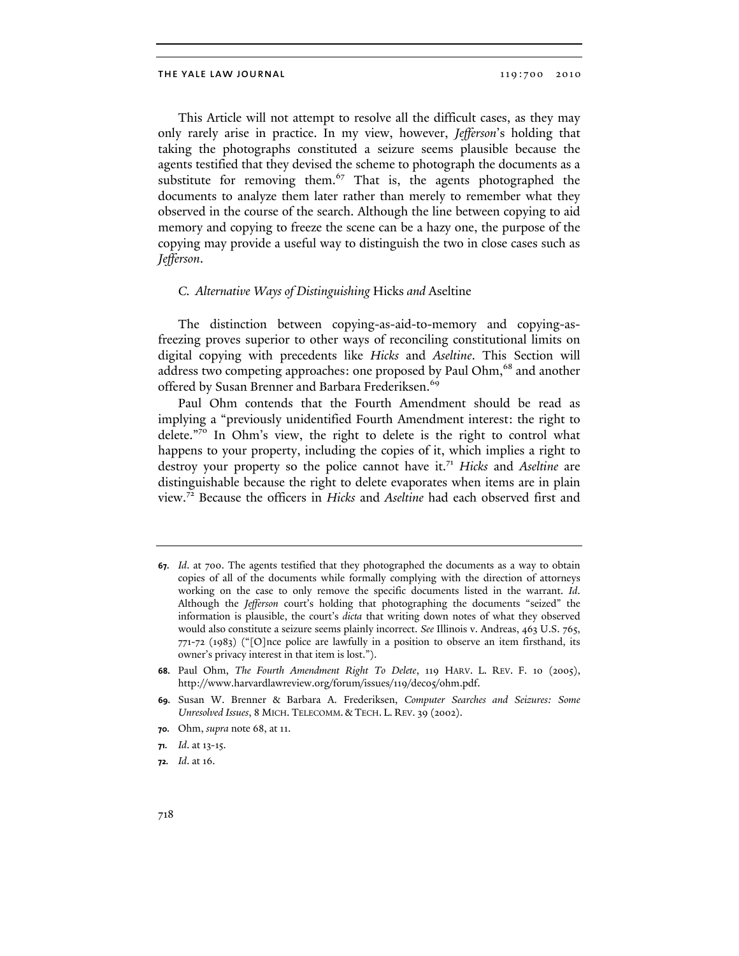This Article will not attempt to resolve all the difficult cases, as they may only rarely arise in practice. In my view, however, *Jefferson*'s holding that taking the photographs constituted a seizure seems plausible because the agents testified that they devised the scheme to photograph the documents as a substitute for removing them.<sup>67</sup> That is, the agents photographed the documents to analyze them later rather than merely to remember what they observed in the course of the search. Although the line between copying to aid memory and copying to freeze the scene can be a hazy one, the purpose of the copying may provide a useful way to distinguish the two in close cases such as *Jefferson*.

## *C. Alternative Ways of Distinguishing* Hicks *and* Aseltine

The distinction between copying-as-aid-to-memory and copying-asfreezing proves superior to other ways of reconciling constitutional limits on digital copying with precedents like *Hicks* and *Aseltine*. This Section will address two competing approaches: one proposed by Paul Ohm,<sup>68</sup> and another offered by Susan Brenner and Barbara Frederiksen.<sup>69</sup>

Paul Ohm contends that the Fourth Amendment should be read as implying a "previously unidentified Fourth Amendment interest: the right to delete."70 In Ohm's view, the right to delete is the right to control what happens to your property, including the copies of it, which implies a right to destroy your property so the police cannot have it.<sup>71</sup> *Hicks* and *Aseltine* are distinguishable because the right to delete evaporates when items are in plain view.72 Because the officers in *Hicks* and *Aseltine* had each observed first and

**<sup>67.</sup>** *Id*. at 700. The agents testified that they photographed the documents as a way to obtain copies of all of the documents while formally complying with the direction of attorneys working on the case to only remove the specific documents listed in the warrant. *Id*. Although the *Jefferson* court's holding that photographing the documents "seized" the information is plausible, the court's *dicta* that writing down notes of what they observed would also constitute a seizure seems plainly incorrect. *See* Illinois v. Andreas, 463 U.S. 765, 771-72 (1983) ("[O]nce police are lawfully in a position to observe an item firsthand, its owner's privacy interest in that item is lost.").

**<sup>68.</sup>** Paul Ohm, *The Fourth Amendment Right To Delete*, 119 HARV. L. REV. F. 10 (2005), http://www.harvardlawreview.org/forum/issues/119/dec05/ohm.pdf.

**<sup>69.</sup>** Susan W. Brenner & Barbara A. Frederiksen, *Computer Searches and Seizures: Some Unresolved Issues*, 8 MICH. TELECOMM. & TECH. L. REV. 39 (2002).

**<sup>70.</sup>** Ohm, *supra* note 68, at 11.

**<sup>71.</sup>** *Id*. at 13-15.

**<sup>72.</sup>** *Id*. at 16.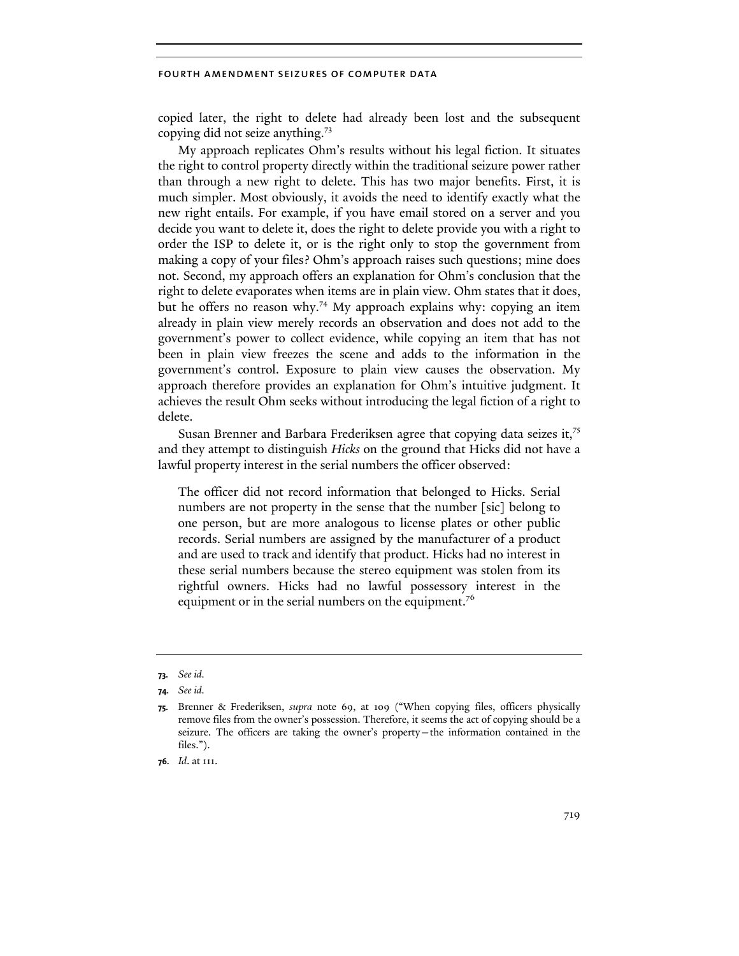copied later, the right to delete had already been lost and the subsequent copying did not seize anything.<sup>73</sup>

My approach replicates Ohm's results without his legal fiction. It situates the right to control property directly within the traditional seizure power rather than through a new right to delete. This has two major benefits. First, it is much simpler. Most obviously, it avoids the need to identify exactly what the new right entails. For example, if you have email stored on a server and you decide you want to delete it, does the right to delete provide you with a right to order the ISP to delete it, or is the right only to stop the government from making a copy of your files? Ohm's approach raises such questions; mine does not. Second, my approach offers an explanation for Ohm's conclusion that the right to delete evaporates when items are in plain view. Ohm states that it does, but he offers no reason why.<sup>74</sup> My approach explains why: copying an item already in plain view merely records an observation and does not add to the government's power to collect evidence, while copying an item that has not been in plain view freezes the scene and adds to the information in the government's control. Exposure to plain view causes the observation. My approach therefore provides an explanation for Ohm's intuitive judgment. It achieves the result Ohm seeks without introducing the legal fiction of a right to delete.

Susan Brenner and Barbara Frederiksen agree that copying data seizes it,<sup>75</sup> and they attempt to distinguish *Hicks* on the ground that Hicks did not have a lawful property interest in the serial numbers the officer observed:

The officer did not record information that belonged to Hicks. Serial numbers are not property in the sense that the number [sic] belong to one person, but are more analogous to license plates or other public records. Serial numbers are assigned by the manufacturer of a product and are used to track and identify that product. Hicks had no interest in these serial numbers because the stereo equipment was stolen from its rightful owners. Hicks had no lawful possessory interest in the equipment or in the serial numbers on the equipment.<sup>76</sup>

**<sup>73.</sup>** *See id.*

**<sup>74.</sup>** *See id.*

**<sup>75.</sup>** Brenner & Frederiksen, *supra* note 69, at 109 ("When copying files, officers physically remove files from the owner's possession. Therefore, it seems the act of copying should be a seizure. The officers are taking the owner's property—the information contained in the files.").

**<sup>76.</sup>** *Id*. at 111.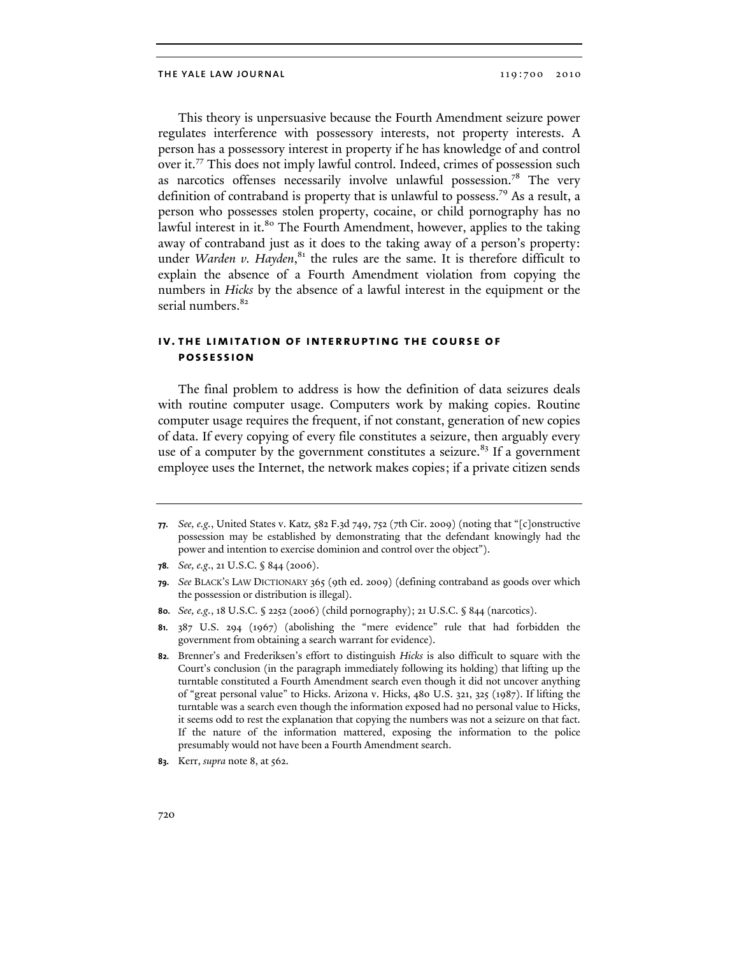#### THE YALE LAW JOURNAL 2010 2010 2010

This theory is unpersuasive because the Fourth Amendment seizure power regulates interference with possessory interests, not property interests. A person has a possessory interest in property if he has knowledge of and control over it.77 This does not imply lawful control. Indeed, crimes of possession such as narcotics offenses necessarily involve unlawful possession.<sup>78</sup> The very definition of contraband is property that is unlawful to possess.79 As a result, a person who possesses stolen property, cocaine, or child pornography has no lawful interest in it.<sup>80</sup> The Fourth Amendment, however, applies to the taking away of contraband just as it does to the taking away of a person's property: under *Warden v. Hayden*,<sup>81</sup> the rules are the same. It is therefore difficult to explain the absence of a Fourth Amendment violation from copying the numbers in *Hicks* by the absence of a lawful interest in the equipment or the serial numbers.<sup>82</sup>

# **iv. the limitation of interrupting the course of possession**

The final problem to address is how the definition of data seizures deals with routine computer usage. Computers work by making copies. Routine computer usage requires the frequent, if not constant, generation of new copies of data. If every copying of every file constitutes a seizure, then arguably every use of a computer by the government constitutes a seizure. $83$  If a government employee uses the Internet, the network makes copies; if a private citizen sends

**83.** Kerr, *supra* note 8, at 562.

**<sup>77.</sup>** *See, e.g.*, United States v. Katz,  $\frac{582 \text{ F.3d}}{749,752}$  (7th Cir. 2009) (noting that "[c]onstructive possession may be established by demonstrating that the defendant knowingly had the power and intention to exercise dominion and control over the object").

**<sup>78.</sup>** *See, e.g*., 21 U.S.C. § 844 (2006).

**<sup>79.</sup>** *See* BLACK'S LAW DICTIONARY 365 (9th ed. 2009) (defining contraband as goods over which the possession or distribution is illegal).

**<sup>80.</sup>** *See, e.g.*, 18 U.S.C. § 2252 (2006) (child pornography); 21 U.S.C. § 844 (narcotics).

**<sup>81.</sup>** 387 U.S. 294 (1967) (abolishing the "mere evidence" rule that had forbidden the government from obtaining a search warrant for evidence).

**<sup>82.</sup>** Brenner's and Frederiksen's effort to distinguish *Hicks* is also difficult to square with the Court's conclusion (in the paragraph immediately following its holding) that lifting up the turntable constituted a Fourth Amendment search even though it did not uncover anything of "great personal value" to Hicks. Arizona v. Hicks, 480 U.S. 321, 325 (1987). If lifting the turntable was a search even though the information exposed had no personal value to Hicks, it seems odd to rest the explanation that copying the numbers was not a seizure on that fact. If the nature of the information mattered, exposing the information to the police presumably would not have been a Fourth Amendment search.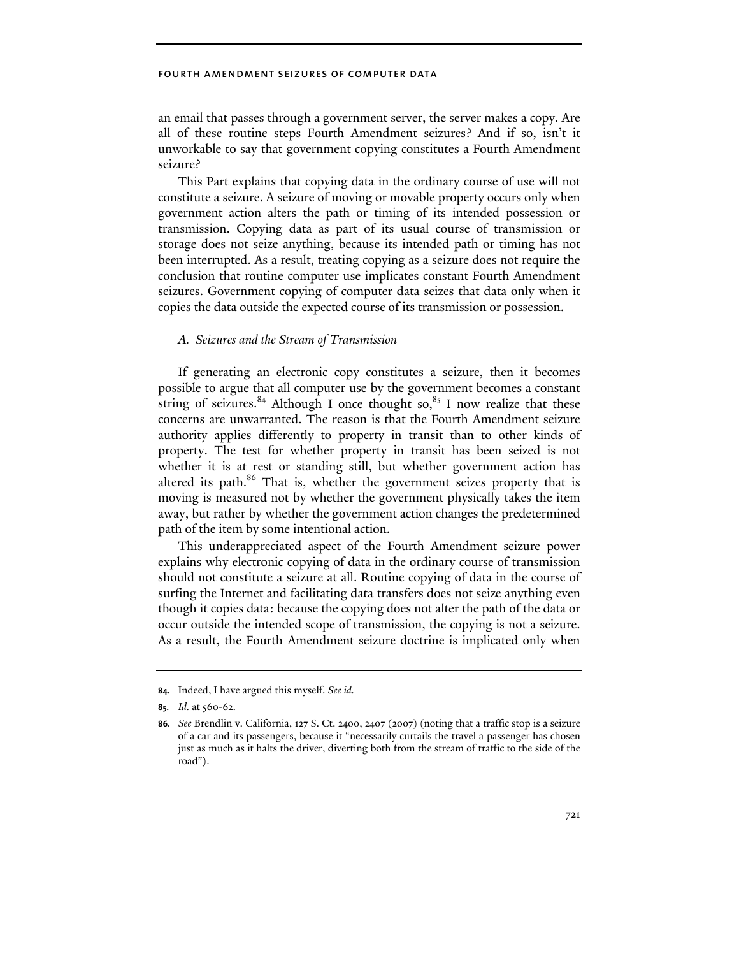an email that passes through a government server, the server makes a copy. Are all of these routine steps Fourth Amendment seizures? And if so, isn't it unworkable to say that government copying constitutes a Fourth Amendment seizure?

This Part explains that copying data in the ordinary course of use will not constitute a seizure. A seizure of moving or movable property occurs only when government action alters the path or timing of its intended possession or transmission. Copying data as part of its usual course of transmission or storage does not seize anything, because its intended path or timing has not been interrupted. As a result, treating copying as a seizure does not require the conclusion that routine computer use implicates constant Fourth Amendment seizures. Government copying of computer data seizes that data only when it copies the data outside the expected course of its transmission or possession.

## *A. Seizures and the Stream of Transmission*

If generating an electronic copy constitutes a seizure, then it becomes possible to argue that all computer use by the government becomes a constant string of seizures.<sup>84</sup> Although I once thought so,<sup>85</sup> I now realize that these concerns are unwarranted. The reason is that the Fourth Amendment seizure authority applies differently to property in transit than to other kinds of property. The test for whether property in transit has been seized is not whether it is at rest or standing still, but whether government action has altered its path.<sup>86</sup> That is, whether the government seizes property that is moving is measured not by whether the government physically takes the item away, but rather by whether the government action changes the predetermined path of the item by some intentional action.

This underappreciated aspect of the Fourth Amendment seizure power explains why electronic copying of data in the ordinary course of transmission should not constitute a seizure at all. Routine copying of data in the course of surfing the Internet and facilitating data transfers does not seize anything even though it copies data: because the copying does not alter the path of the data or occur outside the intended scope of transmission, the copying is not a seizure. As a result, the Fourth Amendment seizure doctrine is implicated only when

**<sup>84.</sup>** Indeed, I have argued this myself. *See id.*

**<sup>85.</sup>** *Id.* at 560-62.

**<sup>86.</sup>** *See* Brendlin v. California, 127 S. Ct. 2400, 2407 (2007) (noting that a traffic stop is a seizure of a car and its passengers, because it "necessarily curtails the travel a passenger has chosen just as much as it halts the driver, diverting both from the stream of traffic to the side of the road").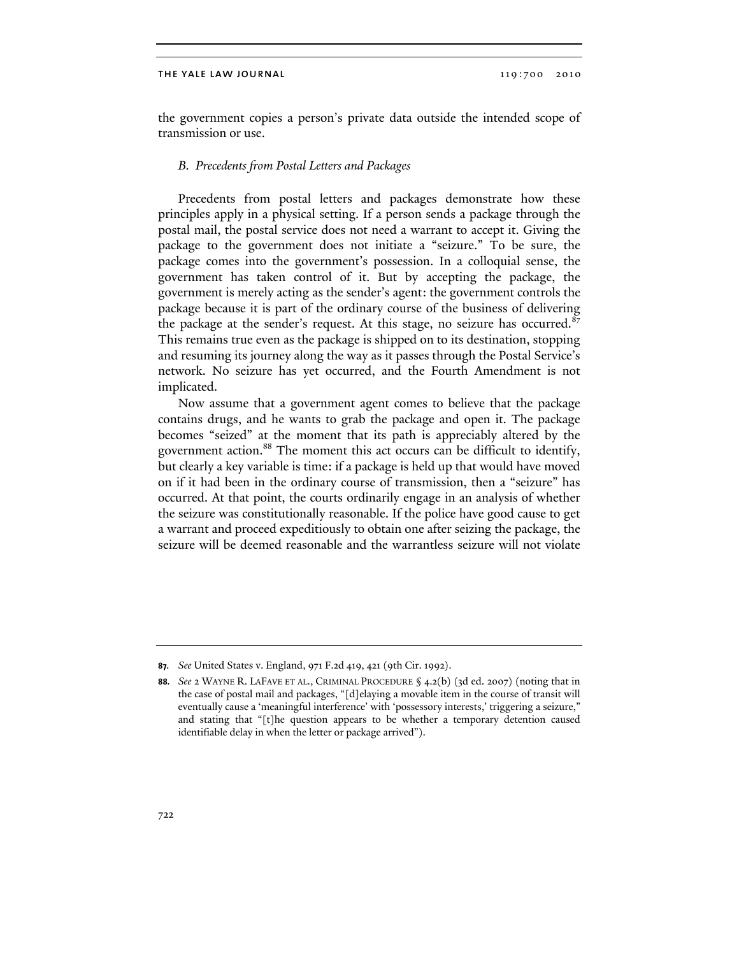the government copies a person's private data outside the intended scope of transmission or use.

## *B. Precedents from Postal Letters and Packages*

Precedents from postal letters and packages demonstrate how these principles apply in a physical setting. If a person sends a package through the postal mail, the postal service does not need a warrant to accept it. Giving the package to the government does not initiate a "seizure." To be sure, the package comes into the government's possession. In a colloquial sense, the government has taken control of it. But by accepting the package, the government is merely acting as the sender's agent: the government controls the package because it is part of the ordinary course of the business of delivering the package at the sender's request. At this stage, no seizure has occurred.<sup>87</sup> This remains true even as the package is shipped on to its destination, stopping and resuming its journey along the way as it passes through the Postal Service's network. No seizure has yet occurred, and the Fourth Amendment is not implicated.

Now assume that a government agent comes to believe that the package contains drugs, and he wants to grab the package and open it. The package becomes "seized" at the moment that its path is appreciably altered by the government action.<sup>88</sup> The moment this act occurs can be difficult to identify, but clearly a key variable is time: if a package is held up that would have moved on if it had been in the ordinary course of transmission, then a "seizure" has occurred. At that point, the courts ordinarily engage in an analysis of whether the seizure was constitutionally reasonable. If the police have good cause to get a warrant and proceed expeditiously to obtain one after seizing the package, the seizure will be deemed reasonable and the warrantless seizure will not violate

**<sup>87.</sup>** *See* United States v. England, 971 F.2d 419, 421 (9th Cir. 1992).

**<sup>88.</sup>** *See* 2 WAYNE R. LAFAVE ET AL., CRIMINAL PROCEDURE § 4.2(b) (3d ed. 2007) (noting that in the case of postal mail and packages, "[d]elaying a movable item in the course of transit will eventually cause a 'meaningful interference' with 'possessory interests,' triggering a seizure," and stating that "[t]he question appears to be whether a temporary detention caused identifiable delay in when the letter or package arrived").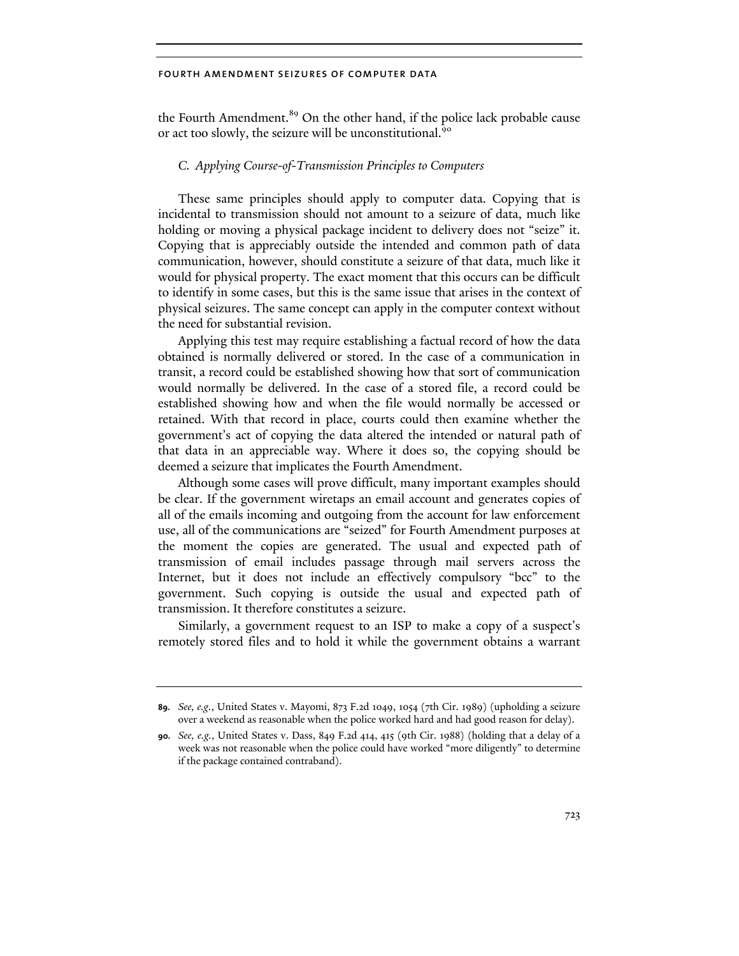the Fourth Amendment.<sup>89</sup> On the other hand, if the police lack probable cause or act too slowly, the seizure will be unconstitutional.<sup>90</sup>

# *C. Applying Course-of-Transmission Principles to Computers*

These same principles should apply to computer data. Copying that is incidental to transmission should not amount to a seizure of data, much like holding or moving a physical package incident to delivery does not "seize" it. Copying that is appreciably outside the intended and common path of data communication, however, should constitute a seizure of that data, much like it would for physical property. The exact moment that this occurs can be difficult to identify in some cases, but this is the same issue that arises in the context of physical seizures. The same concept can apply in the computer context without the need for substantial revision.

Applying this test may require establishing a factual record of how the data obtained is normally delivered or stored. In the case of a communication in transit, a record could be established showing how that sort of communication would normally be delivered. In the case of a stored file, a record could be established showing how and when the file would normally be accessed or retained. With that record in place, courts could then examine whether the government's act of copying the data altered the intended or natural path of that data in an appreciable way. Where it does so, the copying should be deemed a seizure that implicates the Fourth Amendment.

Although some cases will prove difficult, many important examples should be clear. If the government wiretaps an email account and generates copies of all of the emails incoming and outgoing from the account for law enforcement use, all of the communications are "seized" for Fourth Amendment purposes at the moment the copies are generated. The usual and expected path of transmission of email includes passage through mail servers across the Internet, but it does not include an effectively compulsory "bcc" to the government. Such copying is outside the usual and expected path of transmission. It therefore constitutes a seizure.

Similarly, a government request to an ISP to make a copy of a suspect's remotely stored files and to hold it while the government obtains a warrant

**<sup>89.</sup>** *See, e.g.*, United States v. Mayomi, 873 F.2d 1049, 1054 (7th Cir. 1989) (upholding a seizure over a weekend as reasonable when the police worked hard and had good reason for delay).

**<sup>90.</sup>** *See, e.g.*, United States v. Dass, 849 F.2d 414, 415 (9th Cir. 1988) (holding that a delay of a week was not reasonable when the police could have worked "more diligently" to determine if the package contained contraband).